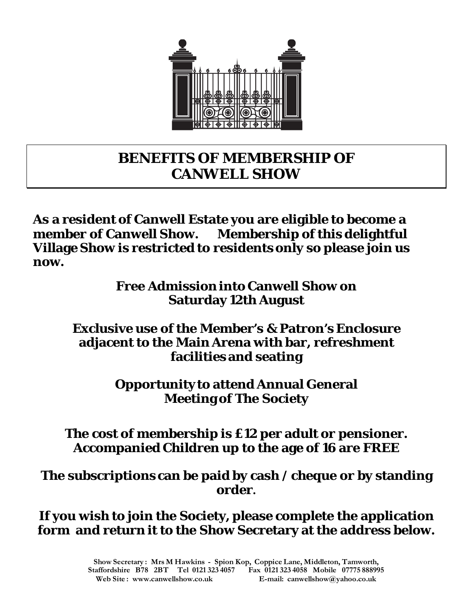

## **BENEFITS OF MEMBERSHIP OF CANWELL SHOW**

**As a resident of Canwell Estate you are eligible to become a member of Canwell Show. Membership of this delightful Village Show is restricted to residents only so please join us now.** 

> **Free Admission into Canwell Show on Saturday 12th August**

## **Exclusive use of the Member's & Patron's Enclosure adjacent to the Main Arena with bar, refreshment facilities and seating**

**Opportunity to attend Annual General Meeting of The Society**

## **The cost of membership is £12 per adult or pensioner. Accompanied Children up to the age of 16 are FREE**

**The subscriptions can be paid by cash / cheque or by standing order.**

**If you wish to join the Society, please complete the application form and return it to the Show Secretary at the address below.**